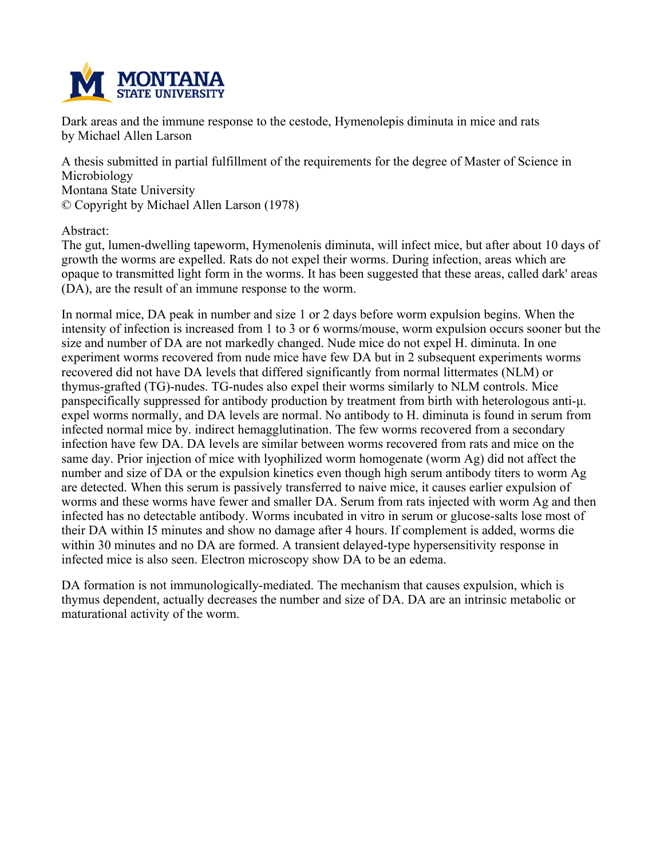

**Dark areas and the immune response to the cestode, Hymenolepis diminuta in mice and rats by Michael Allen Larson**

**A thesis submitted in partial fulfillment of the requirements for the degree of Master of Science in Microbiology Montana State University © Copyright by Michael Allen Larson (1978)**

**Abstract:**

**The gut, lumen-dwelling tapeworm, Hymenolenis diminuta, will infect mice, but after about 10 days of growth the worms are expelled. Rats do not expel their worms. During infection, areas which are** opaque to transmitted light form in the worms. It has been suggested that these areas, called dark' areas **(DA), are the result of an immune response to the worm.**

In normal mice, DA peak in number and size 1 or 2 days before worm expulsion begins. When the intensity of infection is increased from 1 to 3 or 6 worms/mouse, worm expulsion occurs sooner but the **size and number of DA are not markedly changed. Nude mice do not expel H. diminuta. In one experiment worms recovered from nude mice have few DA but in 2 subsequent experiments worms recovered did not have DA levels that differed significantly from normal littermates (NLM) or thymus-grafted (TG)-nudes. TG-nudes also expel their worms similarly to NLM controls. Mice panspecifically suppressed for antibody production by treatment from birth with heterologous anti-μ. expel worms normally, and DA levels are normal. No antibody to H. diminuta is found in serum from infected normal mice by. indirect hemagglutination. The few worms recovered from a secondary infection have few DA. DA levels are similar between worms recovered from rats and mice on the same day. Prior injection of mice with lyophilized worm homogenate (worm Ag) did not affect the number and size of DA or the expulsion kinetics even though high serum antibody titers to worm Ag are detected. When this serum is passively transferred to naive mice, it causes earlier expulsion of worms and these worms have fewer and smaller DA. Serum from rats injected with worm Ag and then infected has no detectable antibody. Worms incubated in vitro in serum or glucose-salts lose most of their DA within I5 minutes and show no damage after 4 hours. If complement is added, worms die within 30 minutes and no DA are formed. A transient delayed-type hypersensitivity response in infected mice is also seen. Electron microscopy show DA to be an edema.**

**DA formation is not immunologically-mediated. The mechanism that causes expulsion, which is thymus dependent, actually decreases the number and size of DA. DA are an intrinsic metabolic or maturational activity of the worm.**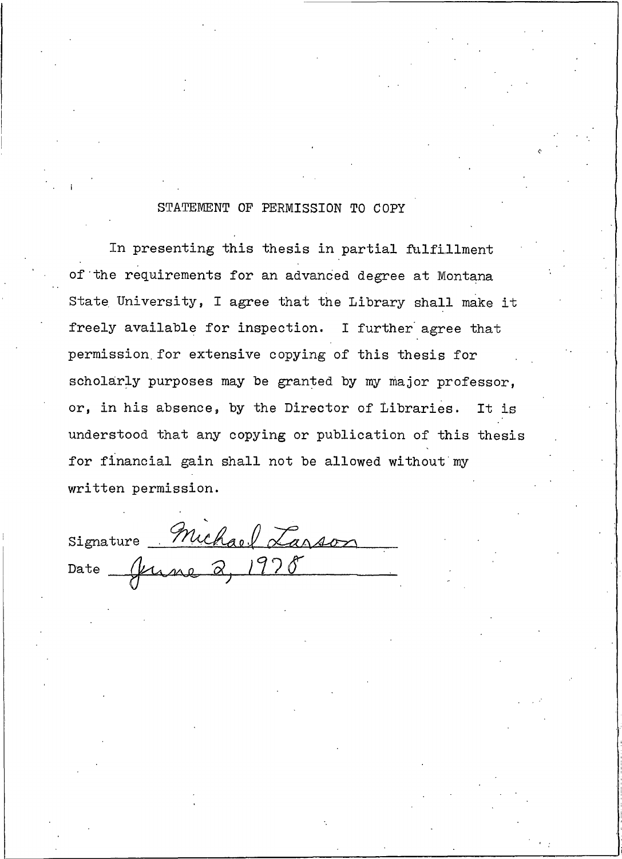#### STATEMENT OF PERMISSION TO COPY

In presenting this thesis in partial fulfillment of the requirements for an advanced degree at Montana State University, I agree that the Library shall make it freely available for inspection. I further agree that permission for extensive copying of this thesis for scholarly purposes may be granted by my major professor, or, in his absence, by the Director of Libraries. It is understood that any copying or publication of this thesis for financial gain shall not be allowed without my written permission.

Signature Michael Larson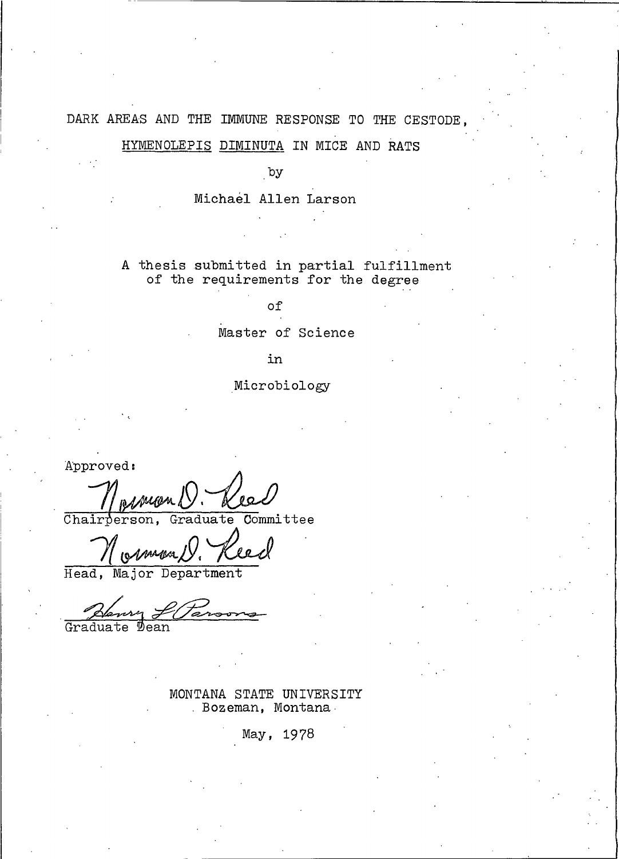#### DARK AREAS AND THE IMMUNE RESPONSE TO THE CESTODE.

# HYMENOLEPIS DIMINUTA IN MICE AND RATS

by

Michael Allen Larson

A thesis submitted in partial fulfillment of the requirements for the degree

of

Master of Science

in

Microbiology

Approved:

Committee Chairperson, Graduate

Head, Major Department

Gradua Dean

> MONTANA STATE UNIVERSITY . Bozeman, Montana.

> > May, 1978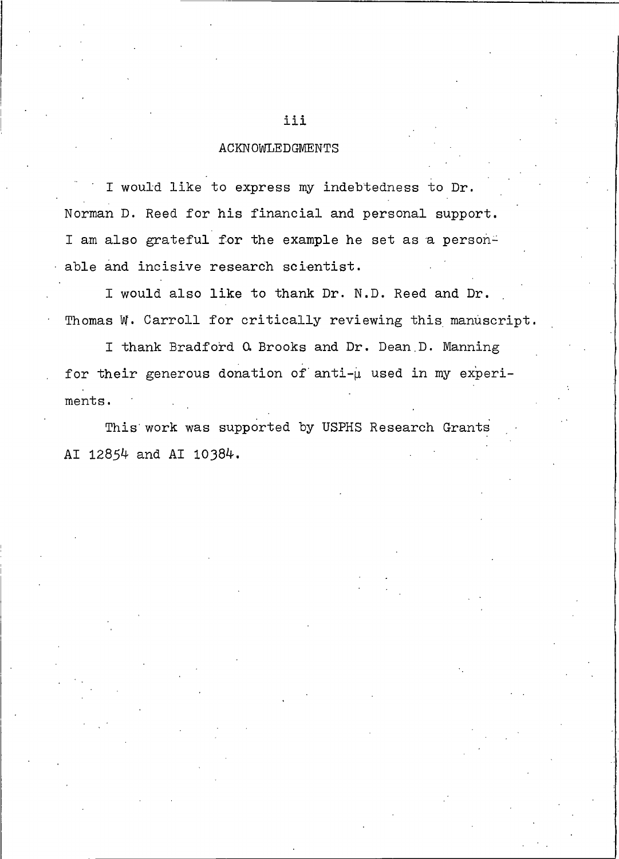#### **ACKNOWLEDGMENTS**

I would like to express my indebtedness to Dr. Norman D. Reed for his financial and personal support. I am also grateful for the example he set as a personable and incisive research scientist.

I would also like to thank Dr. N.D. Reed and Dr. Thomas W. Carroll for critically reviewing this manuscript.

I thank Bradford Q Brooks and Dr. Dean D. Manning for their generous donation of anti-u used in my experiments.

This work was supported by USPHS Research Grants AI 12854 and AI 10384.

#### iii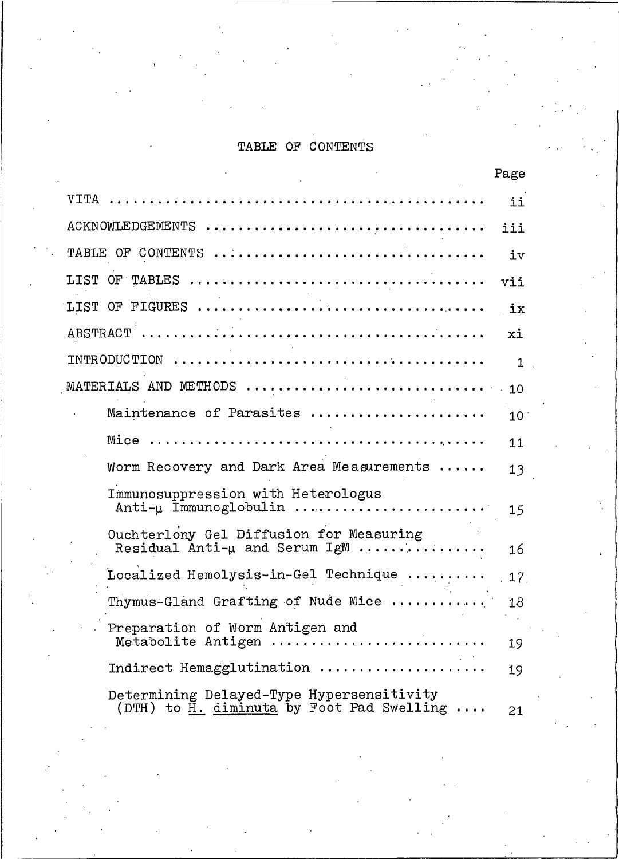# TABLE OF CONTENTS

|                                                                                            | rage |
|--------------------------------------------------------------------------------------------|------|
| VITA                                                                                       | ii   |
| ACKNOWLEDGEMENTS                                                                           | iii  |
| TABLE OF CONTENTS                                                                          | iv   |
| LIST OF TABLES                                                                             | vii  |
|                                                                                            | ix   |
|                                                                                            | xi   |
| INTRODUCTION                                                                               | 1    |
| $\verb MATERIALS AND METHODS   \dots   \dots   \dots   \dots   \dots   \dots   \dots$      | 10   |
| Maintenance of Parasites                                                                   | 10   |
| Mice                                                                                       | 11   |
| Worm Recovery and Dark Area Measurements                                                   | 13   |
| Immunosuppression with Heterologus<br>Anti- $\mu$ Immunoglobulin                           | 15   |
| Ouchterlony Gel Diffusion for Measuring<br>Residual Anti- $\mu$ and Serum IgM              | 16   |
| Localized Hemolysis-in-Gel Technique                                                       | 17.  |
| Thymus-Gland Grafting of Nude Mice                                                         | 18   |
| Preparation of Worm Antigen and<br>Metabolite Antigen                                      | 19   |
| Indirect Hemagglutination                                                                  | 19   |
| Determining Delayed-Type Hypersensitivity<br>$(DTH)$ to $H.$ diminuta by Foot Pad Swelling | 21   |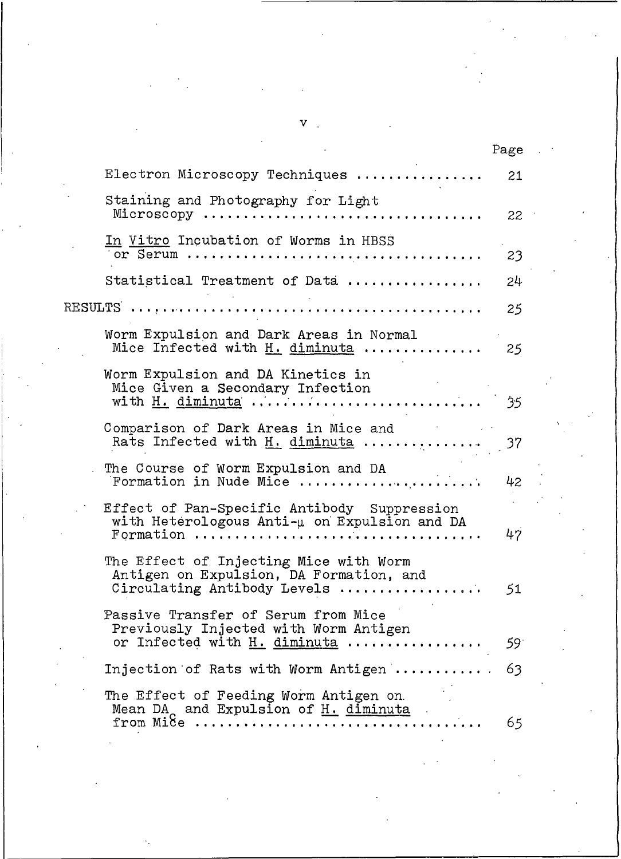|                                                                                                                                                                                  | Page |
|----------------------------------------------------------------------------------------------------------------------------------------------------------------------------------|------|
| Electron Microscopy Techniques                                                                                                                                                   | 21   |
| Staining and Photography for Light<br>Microscopy                                                                                                                                 | 22   |
| In Vitro Incubation of Worms in HBSS                                                                                                                                             | 23   |
| Statistical Treatment of Data                                                                                                                                                    | 24   |
|                                                                                                                                                                                  | 25   |
| Worm Expulsion and Dark Areas in Normal<br>Mice Infected with H. diminuta                                                                                                        | 25   |
| Worm Expulsion and DA Kinetics in<br>Mice Given a Secondary Infection<br>with H. diminuta                                                                                        | 35   |
| Comparison of Dark Areas in Mice and<br>Rats Infected with H. diminuta                                                                                                           | 37   |
| The Course of Worm Expulsion and DA<br>Formation in Nude Mice                                                                                                                    | 42   |
| Effect of Pan-Specific Antibody Suppression<br>with Heterologous Anti-µ on Expulsion and DA<br>Formation $\ldots \ldots \ldots \ldots \ldots \ldots \ldots \ldots \ldots \ldots$ | 47   |
| The Effect of Injecting Mice with Worm<br>Antigen on Expulsion, DA Formation, and<br>Circulating Antibody Levels                                                                 | 51   |
| Passive Transfer of Serum from Mice<br>Previously Injected with Worm Antigen<br>or Infected with H. diminuta                                                                     | 59   |
| Injection of Rats with Worm Antigen                                                                                                                                              | 63   |
| The Effect of Feeding Worm Antigen on<br>Mean DA and Expulsion of H. diminuta<br>from $Mile$                                                                                     | 65   |

 $\mathbf{v}$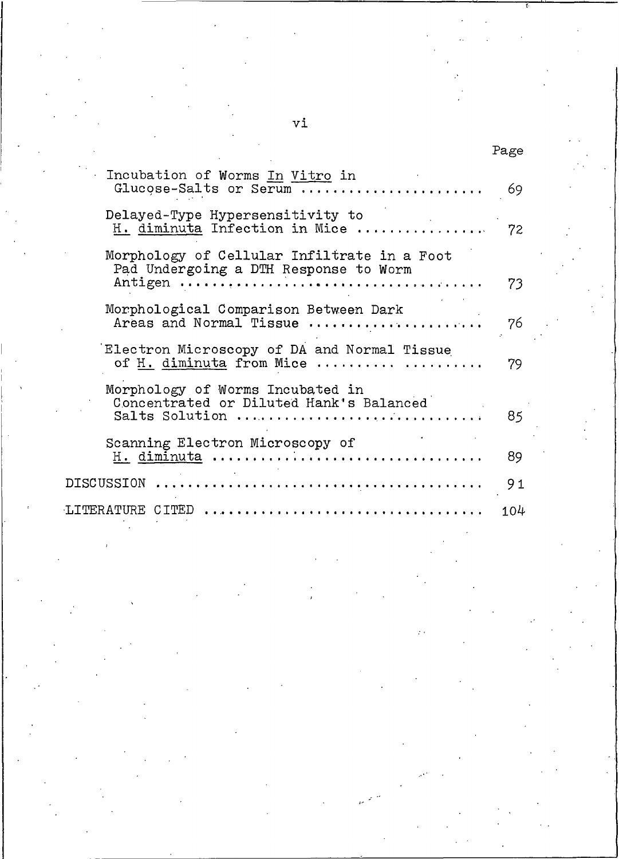# Page

| Incubation of Worms In Vitro in<br>Glucose-Salts or Serum                                                       | 69  |
|-----------------------------------------------------------------------------------------------------------------|-----|
| Delayed-Type Hypersensitivity to<br>H. diminuta Infection in Mice                                               | 72  |
| Morphology of Cellular Infiltrate in a Foot<br>Pad Undergoing a DTH Response to Worm<br>Antigen<br>. <b>.</b> . | 73  |
| Morphological Comparison Between Dark<br>Areas and Normal Tissue                                                | 76  |
| Electron Microscopy of DA and Normal Tissue<br>of H. diminuta from Mice                                         | 79  |
| Morphology of Worms Incubated in<br>Concentrated or Diluted Hank's Balanced<br>Salts Solution                   | 85  |
| Scanning Electron Microscopy of<br>H. diminuta                                                                  | 89  |
| DISCUSSION                                                                                                      | 91  |
| LITERATURE CITED<br>.                                                                                           | 104 |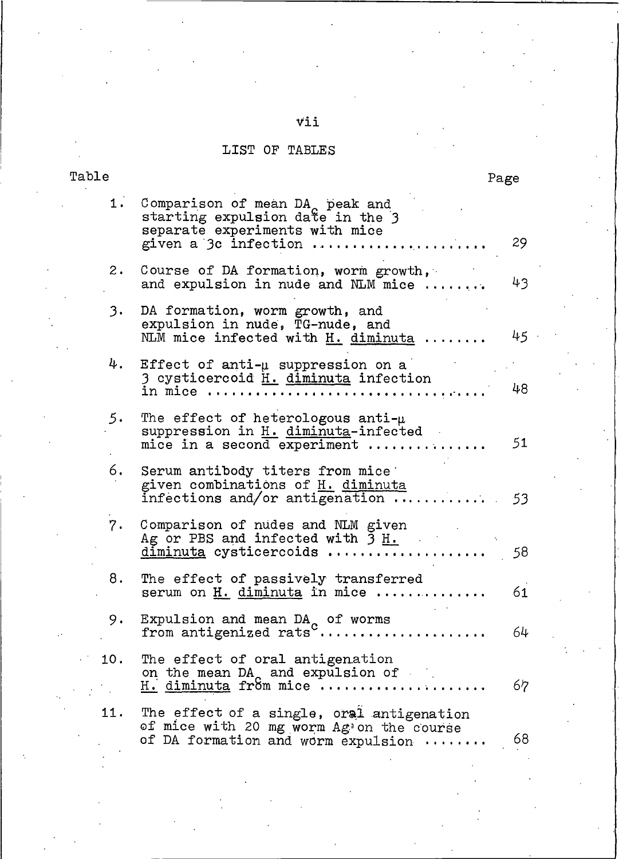# $\overline{\mathtt{vii}}$

### LIST OF TABLES

Ta

| ble |                                                                                                                                           | Page |
|-----|-------------------------------------------------------------------------------------------------------------------------------------------|------|
| 1.  | Comparison of mean DA <sub>c</sub> peak and<br>starting expulsion date in the 3<br>separate experiments with mice<br>given a 3c infection | 29   |
| 2.  | Course of DA formation, worm growth,<br>and expulsion in nude and NLM mice                                                                | 43   |
| 3.  | DA formation, worm growth, and<br>expulsion in nude, TG-nude, and<br>NLM mice infected with H. diminuta                                   | 45   |
| 4.  | Effect of anti- $\mu$ suppression on a<br>3 cysticercoid H. diminuta infection<br>in mice                                                 | 48   |
| 5.  | The effect of heterologous anti- $\mu$<br>suppression in H. diminuta-infected<br>mice in a second experiment                              | 51   |
| 6.  | Serum antibody titers from mice<br>given combinations of H. diminuta<br>infections and/or antigenation $\dots$ .                          | 53   |
| 7.  | Comparison of nudes and NLM given<br>Ag or PBS and infected with $3 \text{ H.}$<br>diminuta cysticercoids                                 | 58   |
| 8.  | The effect of passively transferred<br>serum on H. diminuta in mice                                                                       | 61   |
| 9.  | Expulsion and mean DA of worms<br>from antigenized rats <sup>c</sup>                                                                      | 64   |
| 10. | The effect of oral antigenation<br>on the mean $DA_0$ and expulsion of<br>H. diminuta from mice                                           | 67   |
| 11. | The effect of a single, oral antigenation<br>of mice with 20 mg worm Ag'on the course<br>of DA formation and worm expulsion               | 68   |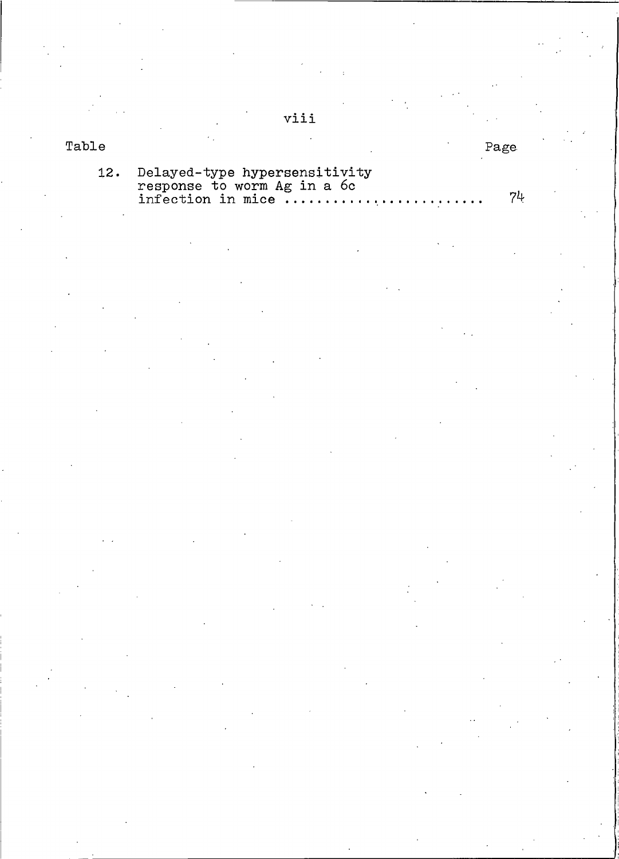| Table |                                                                                       |
|-------|---------------------------------------------------------------------------------------|
|       | 12. Delayed-type hypersensitivity<br>response to worm Ag in a 6c<br>infection in mice |

viii

Page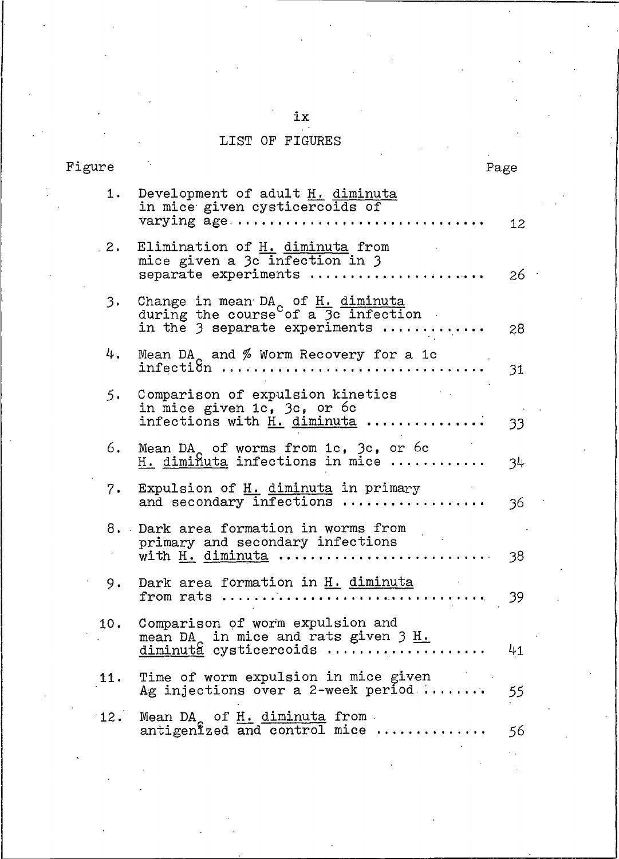# ix<br>LIST OF FIGURES

| Figure |                                                                                                                                    | Page |
|--------|------------------------------------------------------------------------------------------------------------------------------------|------|
| 1.     | Development of adult H. diminuta<br>in mice given cysticercoids of<br>varying age                                                  | 12   |
| 2.2    | Elimination of H. diminuta from<br>mice given a 3c infection in 3<br>separate experiments                                          | 26   |
| 3.     | Change in mean DA <sub>c</sub> of H. diminuta<br>during the course of a 3c infection<br>in the $\overline{3}$ separate experiments | 28   |
| 4.     | Mean DA <sub>2</sub> and $%$ Worm Recovery for a 1c<br>infection                                                                   | 31   |
| 5.     | Comparison of expulsion kinetics<br>in mice given 1c, 3c, or 6c<br>infections with H. diminuta                                     | 33   |
| 6.     | Mean DA of worms from $1c$ , $3c$ , or 6c<br>H. diminuta infections in mice                                                        | 34   |
| 7.     | Expulsion of H. diminuta in primary<br>and secondary infections                                                                    | 36   |
|        | 8. Dark area formation in worms from<br>primary and secondary infections<br>with H. diminuta                                       | 38   |
| 9.     | Dark area formation in H. diminuta                                                                                                 | 39   |
| 10.    | Comparison of worm expulsion and<br>mean DA <sub>c</sub> in mice and rats given 3 H.<br>diminuta cysticercoids                     | 41   |
| 11.    | Time of worm expulsion in mice given<br>Ag injections over a 2-week period                                                         | 55   |
| 12.    | Mean $DA_0$ of $H_0$ diminuta from<br>antigenized and control mice                                                                 | 56   |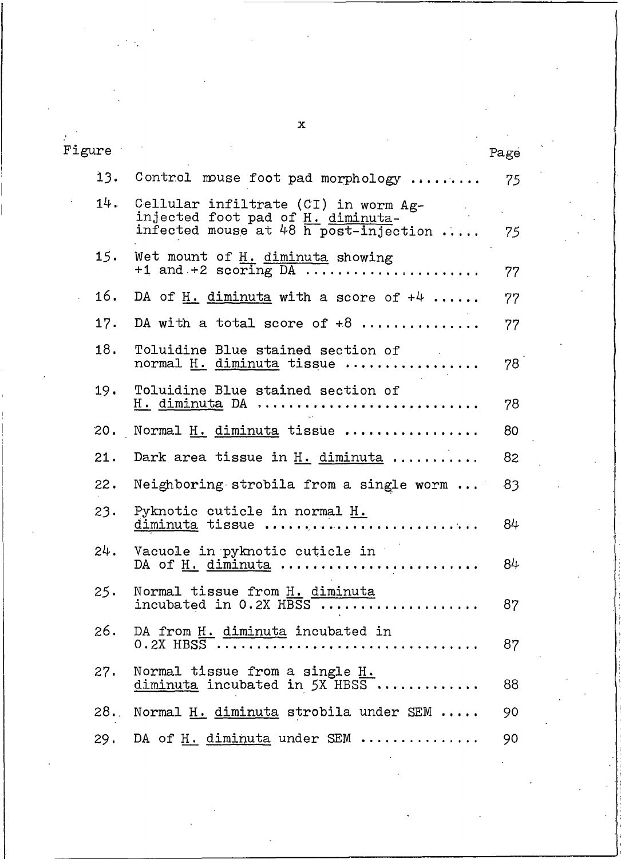| Figure |                                                                                                                                 | Page |
|--------|---------------------------------------------------------------------------------------------------------------------------------|------|
| 13.    | Control mouse foot pad morphology                                                                                               | 75   |
| 14.    | Cellular infiltrate (CI) in worm Ag-<br>injected foot pad of H. diminuta-<br>infected mouse at 48 $\overline{h}$ post-injection | 75   |
| 15.    | Wet mount of H. diminuta showing<br>$+1$ and $+2$ scoring DA                                                                    | 77   |
| 16.    | DA of H. diminuta with a score of $+4$                                                                                          | 77   |
| 17.    | DA with a total score of $+8$                                                                                                   | 77   |
| 18.    | Toluidine Blue stained section of<br>normal H. diminuta tissue                                                                  | 78   |
| 19.    | Toluidine Blue stained section of<br><u>H. diminuta</u> DA                                                                      | 78   |
| 20.    | Normal H. diminuta tissue                                                                                                       | 80   |
| 21.    | Dark area tissue in $H.$ diminuta                                                                                               | 82   |
| 22.    | Neighboring strobila from a single worm                                                                                         | 83   |
| 23.    | Pyknotic cuticle in normal H.<br>diminuta tissue                                                                                | 84   |
| 24.    | Vacuole in pyknotic cuticle in<br>DA of <u>H. diminuta</u>                                                                      | 84   |
| 25.    | Normal tissue from H. diminuta<br>incubated in $0.2X$ HBSS                                                                      | 87   |
| 26.    | DA from H. diminuta incubated in<br>$0.2X$ HBSS $\ldots$                                                                        | 87   |
| 27.    | Normal tissue from a single H.<br>diminuta incubated in 5X HBSS                                                                 | 88   |
| 28.    | Normal H. diminuta strobila under SEM                                                                                           | 90   |
| 29.    | DA of H. diminuta under SEM                                                                                                     | 90   |

 $\mathbf{x}$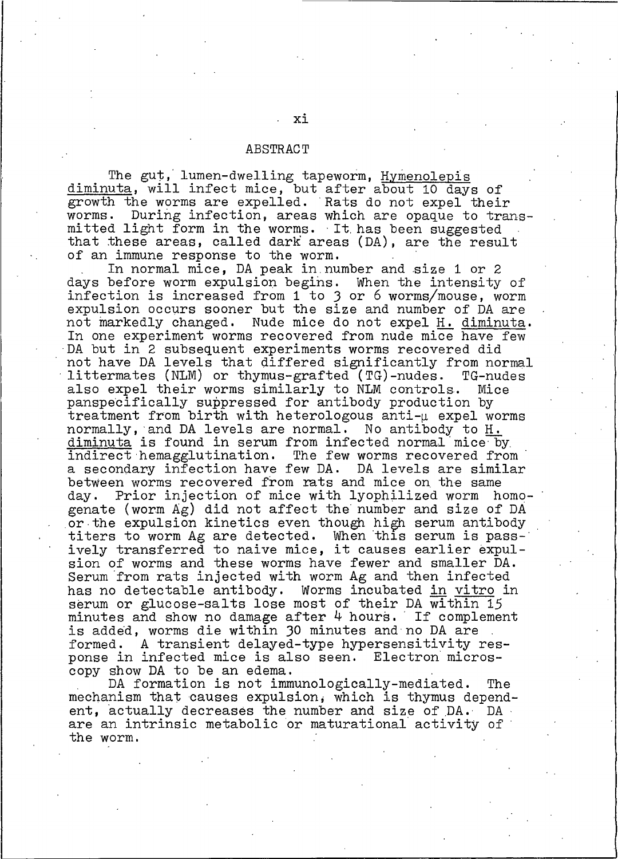#### ABSTRACT

The gut, lumen-dwelling tapeworm, Hymenolepis<br>diminuta, will infect mice, but after about 10 days of growth the worms are expelled. Rats do not expel their worms. During infection, areas which are opaque to transmitted light form in the worms. It has been suggested that these areas, called dark areas (DA), are the result of an immune response to the worm.

In normal mice, DA peak in number and size 1 or 2 days before worm expulsion begins. When the intensity of infection is increased from 1 to 3 or 6 worms/mouse, worm expulsion occurs sooner but the size and number of DA are not markedly changed. Nude mice do not expel H. diminuta. In one experiment worms recovered from nude mice have few DA but in 2 subsequent experiments worms recovered did not have DA levels that differed significantly from normal littermates (NLM) or thymus-grafted (TG)-nudes. TG-nudes also expel their worms similarly to NLM controls. Mice panspecifically suppressed for antibody production by treatment from birth with heterologous anti- $\mu$  expel worms normally, and DA levels are normal. No antibody to H. diminuta is found in serum from infected normal mice by indirect hemagglutination. The few worms recovered from a secondary infection have few DA. DA levels are similar between worms recovered from rats and mice on the same Prior injection of mice with lyophilized worm homodav. genate (worm Ag) did not affect the number and size of DA or the expulsion kinetics even though high serum antibody titers to worm Ag are detected. When this serum is passively transferred to naive mice, it causes earlier expulsion of worms and these worms have fewer and smaller DA. Serum from rats injected with worm Ag and then infected has no detectable antibody. Worms incubated in vitro in serum or glucose-salts lose most of their DA within 15 minutes and show no damage after 4 hours. If complement is added, worms die within 30 minutes and no DA are formed. A transient delayed-type hypersensitivity response in infected mice is also seen. Electron microscopy show DA to be an edema.

DA formation is not immunologically-mediated. The mechanism that causes expulsion, which is thymus dependent, actually decreases the number and size of DA. DA. are an intrinsic metabolic or maturational activity of the worm.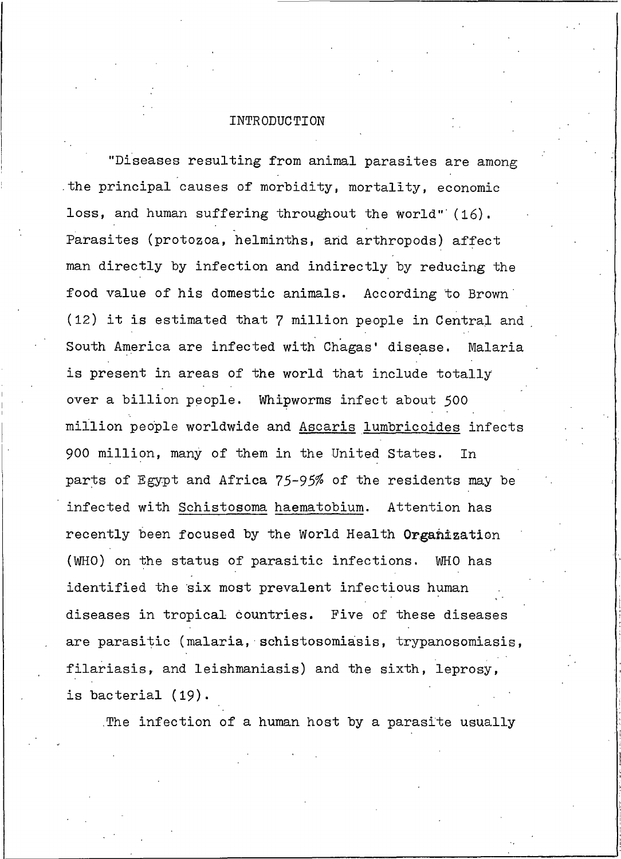#### INTRODUCTION

"Diseases resulting from animal parasites are among the principal causes of morbidity, mortality, economic loss, and human suffering throughout the world" (16). Parasites (protozoa, helminths, and arthropods) affect man directly by infection and indirectly by reducing the food value of his domestic animals. According to Brown (12) it is estimated that 7 million people in Central and South America are infected with Chagas' disease. Malaria is present in areas of the world that include totally over a billion people. Whipworms infect about 500 million people worldwide and Ascaris lumbricoides infects 900 million, many of them in the United States. In parts of Egypt and Africa 75-95% of the residents may be infected with Schistosoma haematobium. Attention has recently been focused by the World Health Organization (WHO) on the status of parasitic infections. WHO has identified the six most prevalent infectious human diseases in tropical countries. Five of these diseases are parasitic (malaria, schistosomiasis, trypanosomiasis, filariasis, and leishmaniasis) and the sixth, leprosy, is bacterial (19).

The infection of a human host by a parasite usually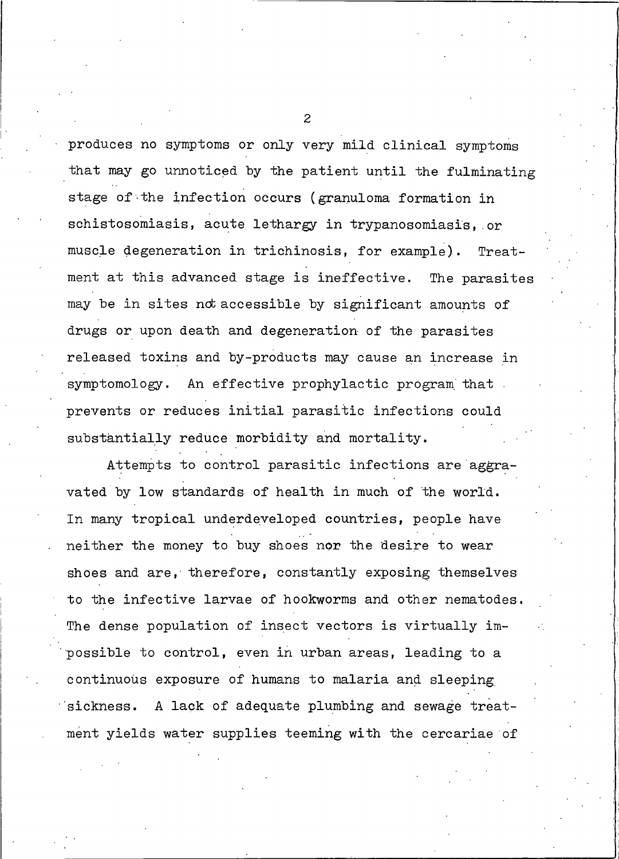produces no symptoms or only very mild clinical symptoms that may go unnoticed by the patient until the fulminating stage of the infection occurs (granuloma formation in schistosomiasis, acute lethargy in trypanosomiasis, or muscle degeneration in trichinosis, for example). Treatment at this advanced stage is ineffective. The parasites may be in sites not accessible by significant amounts of drugs or upon death and degeneration of the parasites released toxins and by-products may cause an increase in symptomology. An effective prophylactic program that prevents or reduces initial parasitic infections could substantially reduce morbidity and mortality.

Attempts to control parasitic infections are aggravated by low standards of health in much of the world. In many tropical underdeveloped countries, people have neither the money to buy shoes nor the desire to wear shoes and are, therefore, constantly exposing themselves to the infective larvae of hookworms and other nematodes. The dense population of insect vectors is virtually impossible to control, even in urban areas, leading to a continuous exposure of humans to malaria and sleeping A lack of adequate plumbing and sewage treatsickness. ment yields water supplies teeming with the cercariae of

 $\overline{c}$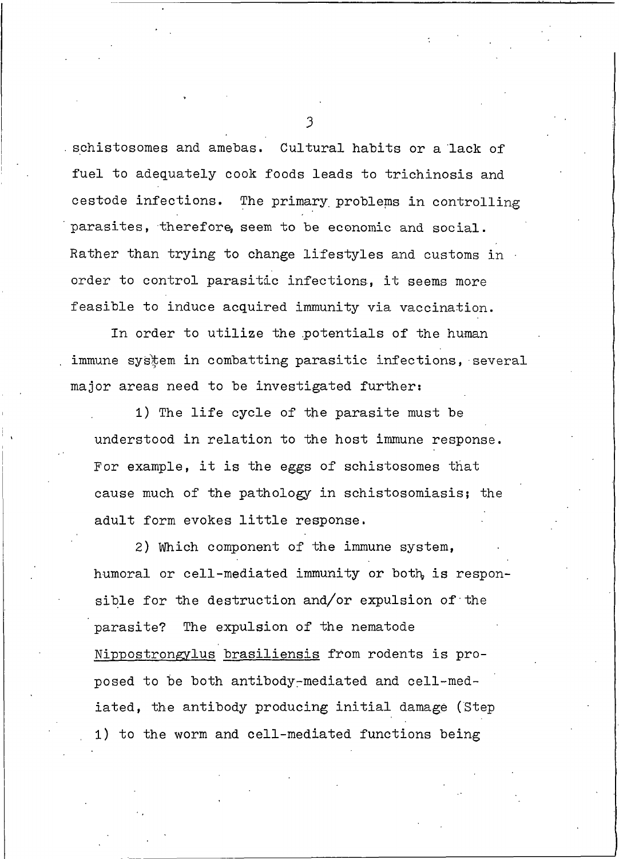schistosomes and amebas. Cultural habits or a lack of fuel to adequately cook foods leads to trichinosis and cestode infections. The primary problems in controlling parasites, therefore, seem to be economic and social. Rather than trying to change lifestyles and customs in order to control parasitic infections, it seems more feasible to induce acquired immunity via vaccination.

In order to utilize the potentials of the human immune system in combatting parasitic infections, several major areas need to be investigated further:

1) The life cycle of the parasite must be understood in relation to the host immune response. For example, it is the eggs of schistosomes that cause much of the pathology in schistosomiasis; the adult form evokes little response.

2) Which component of the immune system, humoral or cell-mediated immunity or both, is responsible for the destruction and/or expulsion of the parasite? The expulsion of the nematode Nippostrongylus brasiliensis from rodents is proposed to be both antibody-mediated and cell-mediated, the antibody producing initial damage (Step 1) to the worm and cell-mediated functions being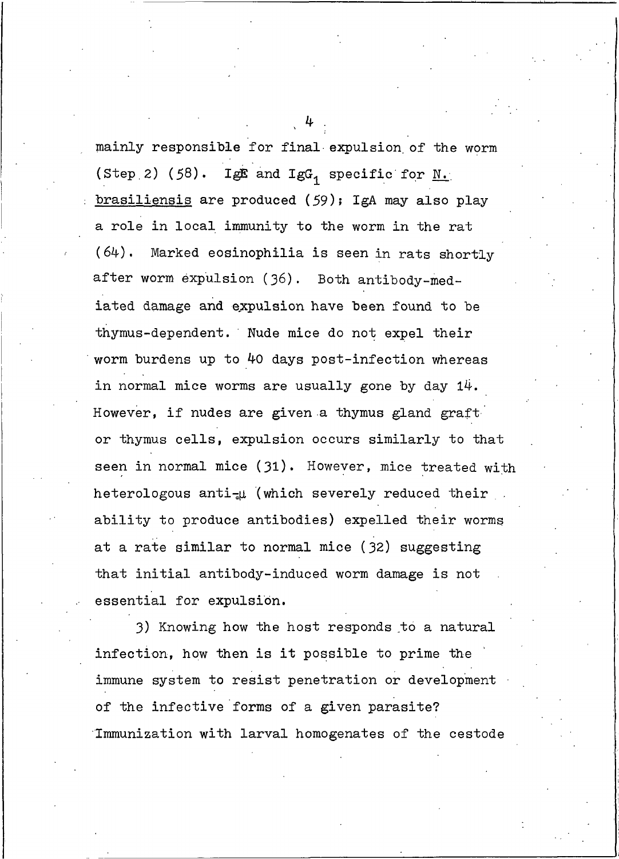mainly responsible for final expulsion of the worm (Step 2) (58). IgE and IgG, specific for  $M$ . brasiliensis are produced (59); IgA may also play a role in local immunity to the worm in the rat Marked eosinophilia is seen in rats shortly  $(64)$ . after worm expulsion (36). Both antibody-mediated damage and expulsion have been found to be thymus-dependent. Nude mice do not expel their worm burdens up to 40 days post-infection whereas in normal mice worms are usually gone by day  $14$ . However, if nudes are given a thymus gland graft or thymus cells, expulsion occurs similarly to that seen in normal mice (31). However, mice treated with heterologous anti-u (which severely reduced their ability to produce antibodies) expelled their worms at a rate similar to normal mice (32) suggesting that initial antibody-induced worm damage is not essential for expulsion.

3) Knowing how the host responds to a natural infection, how then is it possible to prime the immune system to resist penetration or development of the infective forms of a given parasite? Immunization with larval homogenates of the cestode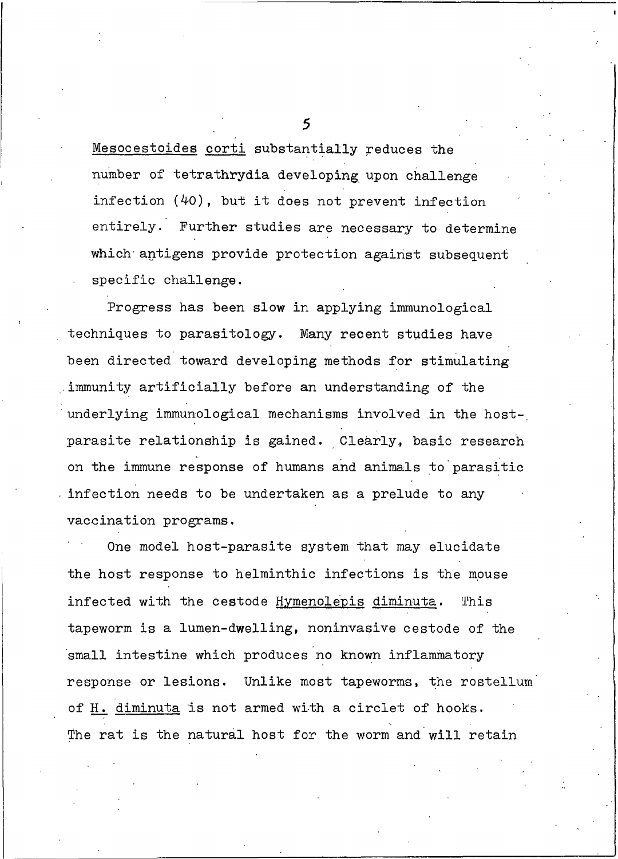Mesocestoides corti substantially reduces the number of tetrathrydia developing upon challenge infection (40), but it does not prevent infection entirely. Further studies are necessary to determine which antigens provide protection against subsequent specific challenge.

Progress has been slow in applying immunological techniques to parasitology. Many recent studies have been directed toward developing methods for stimulating immunity artificially before an understanding of the underlying immunological mechanisms involved in the hostparasite relationship is gained. Clearly, basic research on the immune response of humans and animals to parasitic infection needs to be undertaken as a prelude to any vaccination programs.

One model host-parasite system that may elucidate the host response to helminthic infections is the mouse infected with the cestode Hymenolepis diminuta. This tapeworm is a lumen-dwelling, noninvasive cestode of the small intestine which produces no known inflammatory response or lesions. Unlike most tapeworms, the rostellum of H. diminuta is not armed with a circlet of hooks. The rat is the natural host for the worm and will retain

 $\leq$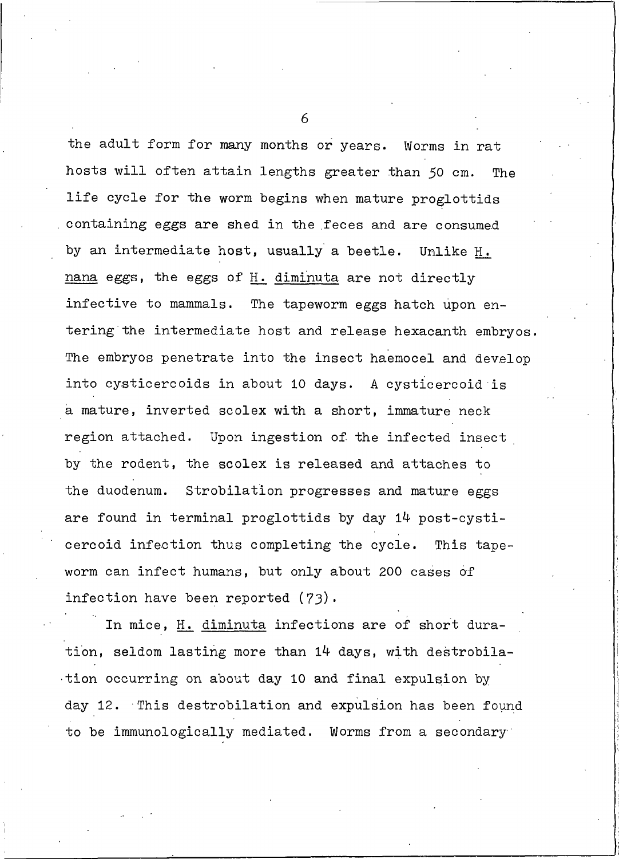the adult form for many months or years. Worms in rat hosts will often attain lengths greater than 50 cm. The life cycle for the worm begins when mature proglottids containing eggs are shed in the feces and are consumed by an intermediate host, usually a beetle. Unlike H. nana eggs, the eggs of H. diminuta are not directly infective to mammals. The tapeworm eggs hatch upon entering the intermediate host and release hexacanth embryos. The embryos penetrate into the insect haemocel and develop into cysticercoids in about 10 days. A cysticercoid is a mature, inverted scolex with a short, immature neck region attached. Upon ingestion of the infected insect by the rodent, the scolex is released and attaches to the duodenum. Strobilation progresses and mature eggs are found in terminal proglottids by day 14 post-cysticercoid infection thus completing the cycle. This tapeworm can infect humans, but only about 200 cases of infection have been reported (73).

In mice, H. diminuta infections are of short duration, seldom lasting more than 14 days, with destrobilation occurring on about day 10 and final expulsion by day 12. This destrobilation and expulsion has been found to be immunologically mediated. Worms from a secondary

 $\kappa$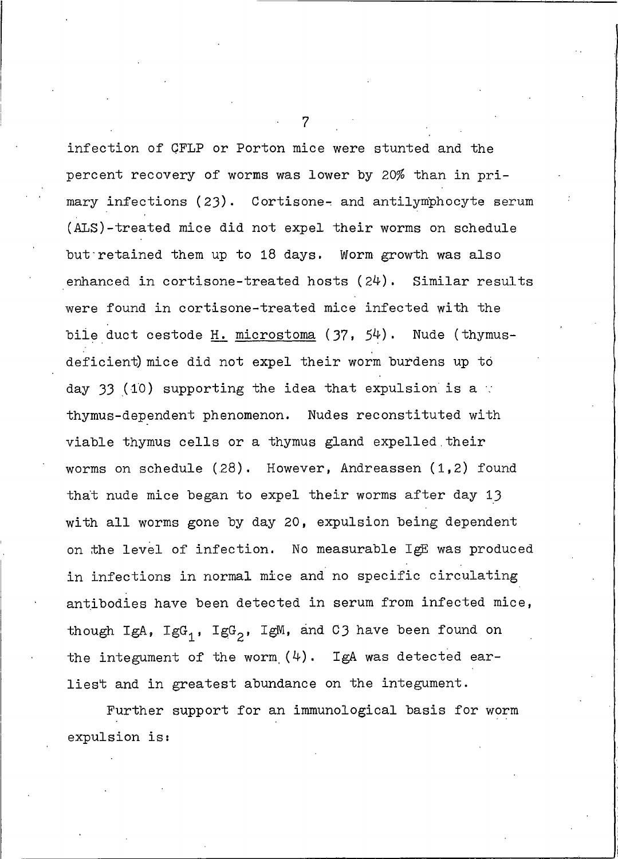infection of CFLP or Porton mice were stunted and the percent recovery of worms was lower by 20% than in primary infections (23). Cortisone- and antilymphocyte serum (ALS)-treated mice did not expel their worms on schedule but retained them up to 18 days. Worm growth was also enhanced in cortisone-treated hosts  $(24)$ . Similar results were found in cortisone-treated mice infected with the bile duct cestode H. microstoma (37, 54). Nude (thymusdeficient) mice did not expel their worm burdens up to day 33 (10) supporting the idea that expulsion is a  $\cdot$ thymus-dependent phenomenon. Nudes reconstituted with viable thymus cells or a thymus gland expelled their worms on schedule  $(28)$ . However, Andreassen  $(1,2)$  found that nude mice began to expel their worms after day 13 with all worms gone by day 20, expulsion being dependent on the level of infection. No measurable IgE was produced in infections in normal mice and no specific circulating antibodies have been detected in serum from infected mice, though IgA,  $IgG_1$ ,  $IgG_2$ , IgM, and C3 have been found on the integument of the worm  $(4)$ . IgA was detected earliest and in greatest abundance on the integument.

Further support for an immunological basis for worm expulsion is: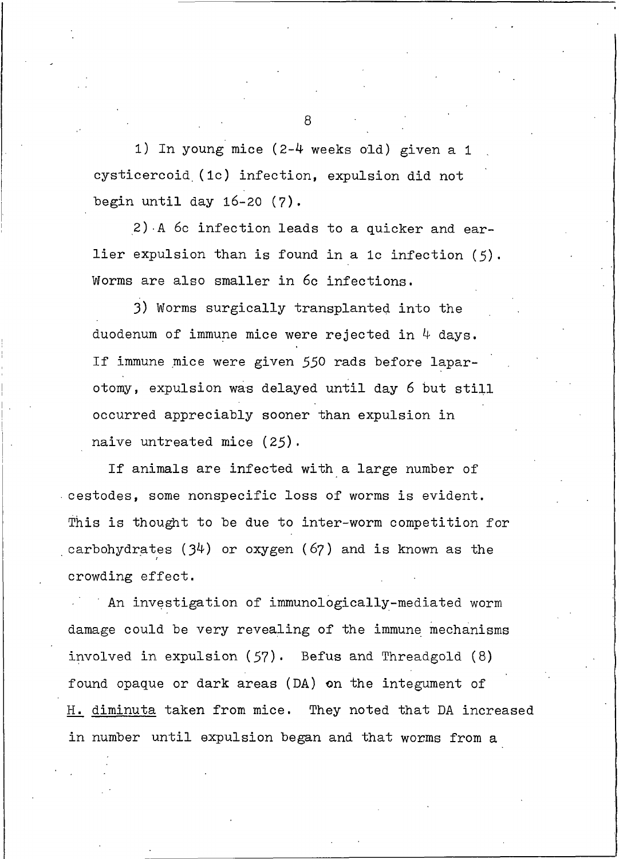1) In young mice (2-4 weeks old) given a 1 cysticercoid (1c) infection, expulsion did not begin until day  $16-20$  (7).

2) A 6c infection leads to a quicker and earlier expulsion than is found in a 1c infection  $(5)$ . Worms are also smaller in 6c infections.

3) Worms surgically transplanted into the duodenum of immune mice were rejected in  $4$  days. If immune mice were given 550 rads before laparotomy, expulsion was delayed until day 6 but still occurred appreciably sooner than expulsion in naive untreated mice (25).

If animals are infected with a large number of cestodes, some nonspecific loss of worms is evident. This is thought to be due to inter-worm competition for carbohydrates  $(34)$  or oxygen  $(67)$  and is known as the crowding effect.

An investigation of immunologically-mediated worm damage could be very revealing of the immune mechanisms involved in expulsion (57). Befus and Threadgold (8) found opaque or dark areas (DA) on the integument of H. diminuta taken from mice. They noted that DA increased in number until expulsion began and that worms from a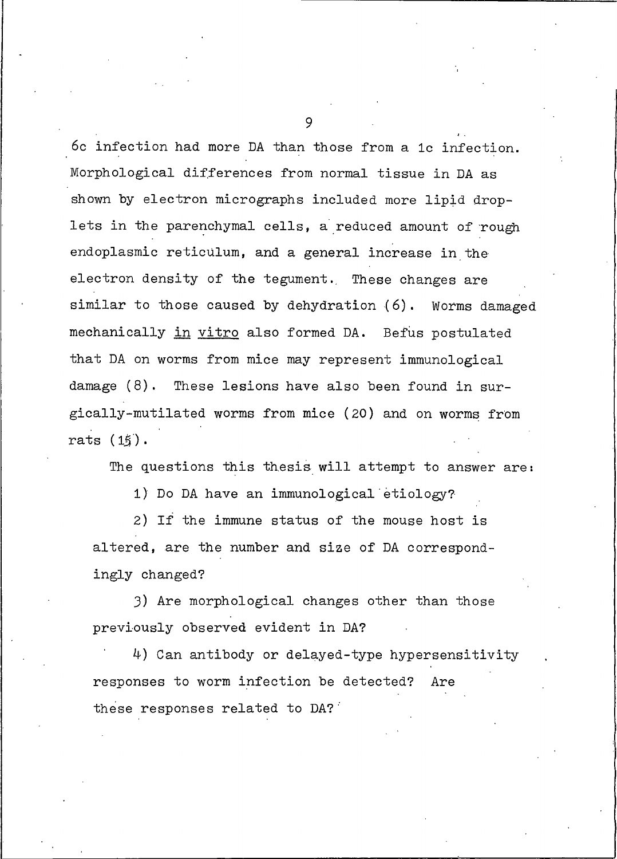6c infection had more DA than those from a 1c infection. Morphological differences from normal tissue in DA as shown by electron micrographs included more lipid droplets in the parenchymal cells, a reduced amount of rough endoplasmic reticulum, and a general increase in the electron density of the tegument. These changes are similar to those caused by dehydration (6). Worms damaged mechanically in vitro also formed DA. Befus postulated that DA on worms from mice may represent immunological damage (8). These lesions have also been found in surgically-mutilated worms from mice (20) and on worms from rats (15).

The questions this thesis will attempt to answer are:

1) Do DA have an immunological etiology?

2) If the immune status of the mouse host is altered, are the number and size of DA correspondingly changed?

3) Are morphological changes other than those previously observed evident in DA?

4) Can antibody or delayed-type hypersensitivity responses to worm infection be detected? Are these responses related to DA?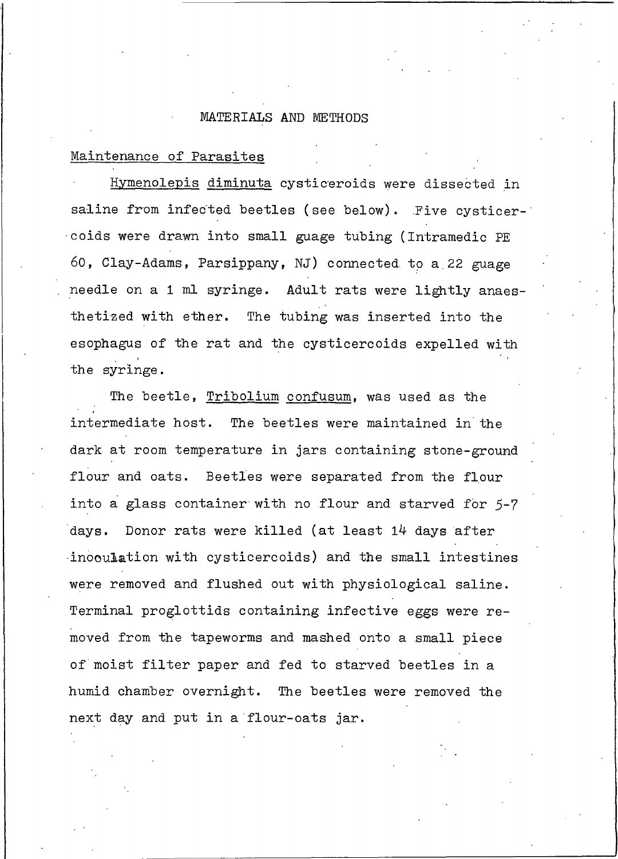#### MATERIALS AND METHODS

#### Maintenance of Parasites

Hymenolepis diminuta cysticeroids were dissected in saline from infected beetles (see below). Five cysticercoids were drawn into small guage tubing (Intramedic PE 60, Clay-Adams, Parsippany, NJ) connected to a 22 guage needle on a 1 ml syringe. Adult rats were lightly anaesthetized with ether. The tubing was inserted into the esophagus of the rat and the cysticercoids expelled with the syringe.

The beetle, Tribolium confusum, was used as the intermediate host. The beetles were maintained in the dark at room temperature in jars containing stone-ground flour and oats. Beetles were separated from the flour into a glass container with no flour and starved for 5-7 days. Donor rats were killed (at least 14 days after inooulation with cysticercoids) and the small intestines were removed and flushed out with physiological saline. Terminal proglottids containing infective eggs were removed from the tapeworms and mashed onto a small piece of moist filter paper and fed to starved beetles in a humid chamber overnight. The beetles were removed the next day and put in a flour-oats jar.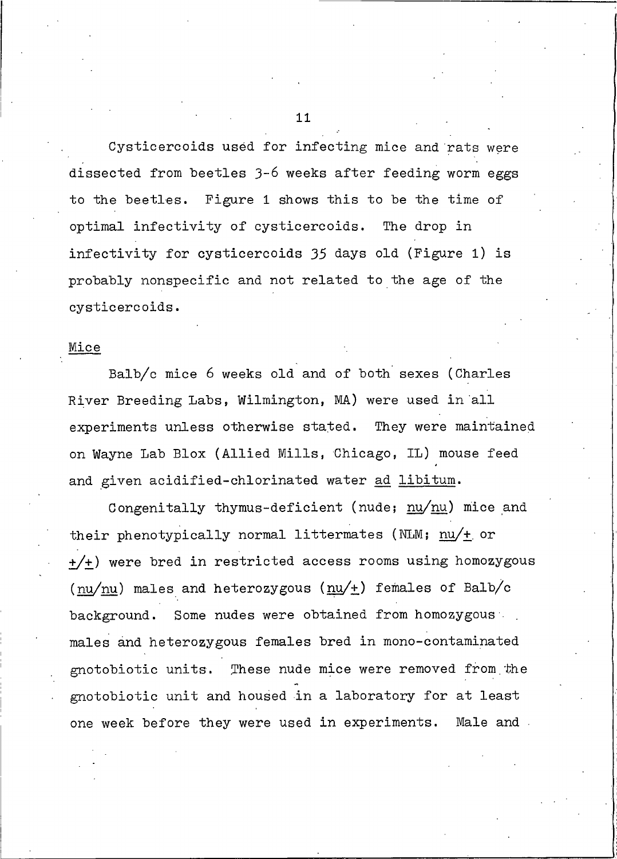Cysticercoids used for infecting mice and rats were dissected from beetles 3-6 weeks after feeding worm eggs to the beetles. Figure 1 shows this to be the time of optimal infectivity of cysticercoids. The drop in infectivity for cysticercoids 35 days old (Figure 1) is probably nonspecific and not related to the age of the cysticercoids.

#### Mice

Balb/c mice 6 weeks old and of both sexes (Charles River Breeding Labs, Wilmington, MA) were used in all experiments unless otherwise stated. They were maintained on Wayne Lab Blox (Allied Mills, Chicago, IL) mouse feed and given acidified-chlorinated water ad libitum.

Congenitally thymus-deficient (nude; nu/nu) mice and their phenotypically normal littermates (NLM;  $\frac{nu}{+}$  or +/+) were bred in restricted access rooms using homozygous  $\text{(nu/nu)}$  males and heterozygous  $\text{(nu/+)}$  females of Balb/c Some nudes were obtained from homozygous background. males and heterozygous females bred in mono-contaminated gnotobiotic units. These nude mice were removed from the gnotobiotic unit and housed in a laboratory for at least one week before they were used in experiments. Male and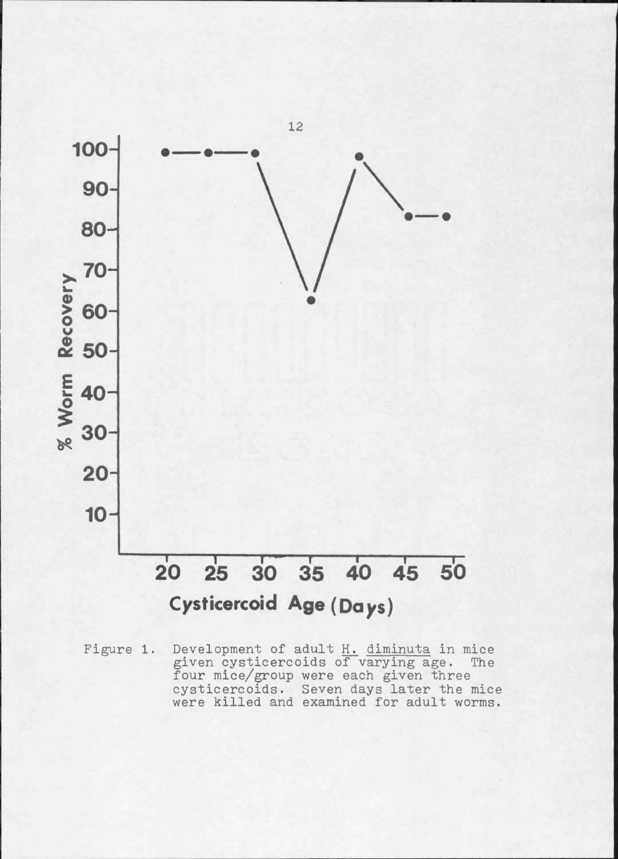

Development of adult H. diminuta in mice<br>given cysticercoids of varying age. The<br>four mice/group were each given three Figure 1. cysticercoids. Seven days later the mice were killed and examined for adult worms.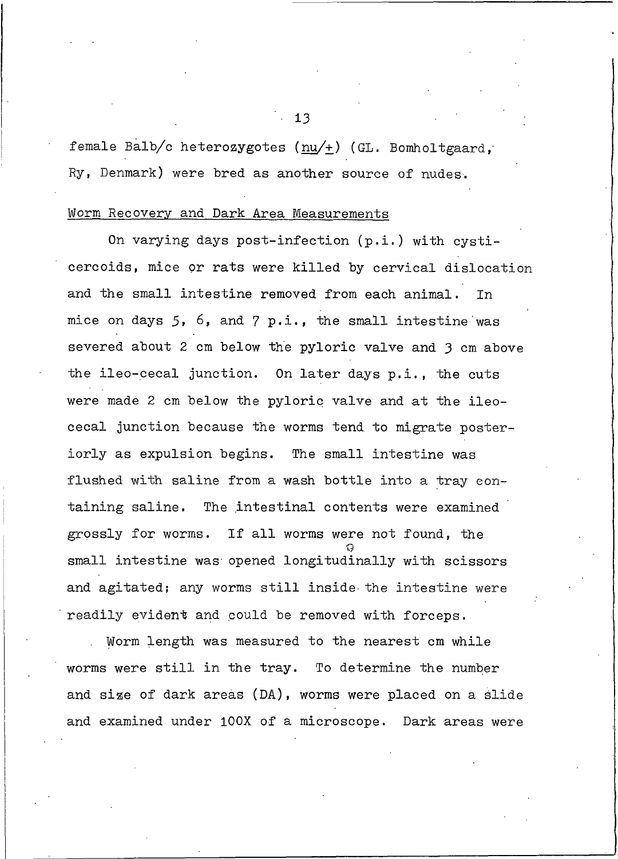female Balb/c heterozygotes ( $\frac{nu}{\pm}$ ) (GL. Bomholtgaard, Ry, Denmark) were bred as another source of nudes.

#### Worm Recovery and Dark Area Measurements

On varying days post-infection (p.i.) with cysticercoids, mice or rats were killed by cervical dislocation and the small intestine removed from each animal. Tn mice on days 5, 6, and 7 p.i., the small intestine was severed about 2 cm below the pyloric valve and 3 cm above the ileo-cecal junction. On later days p.i., the cuts were made 2 cm below the pyloric valve and at the ileocecal junction because the worms tend to migrate posteriorly as expulsion begins. The small intestine was flushed with saline from a wash bottle into a tray containing saline. The intestinal contents were examined grossly for worms. If all worms were not found, the small intestine was opened longitudinally with scissors and agitated; any worms still inside the intestine were readily evident and could be removed with forceps.

Worm length was measured to the nearest cm while worms were still in the tray. To determine the number and size of dark areas (DA), worms were placed on a slide and examined under 100X of a microscope. Dark areas were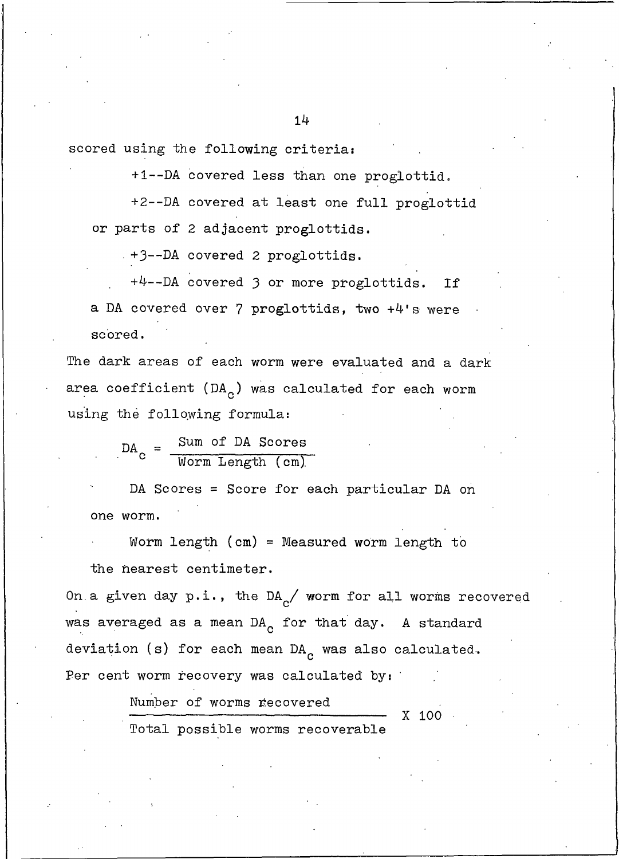+1--DA covered less than one proglottid.

+2--DA covered at least one full proglottid or parts of 2 adjacent proglottids.

+3 -- DA covered 2 proglottids.

+4 -- DA covered 3 or more proglottids. If a DA covered over 7 proglottids, two +4's were scored.

The dark areas of each worm were evaluated and a dark area coefficient (DA<sub>c</sub>) was calculated for each worm using the following formula:

 $\text{DA}_{\text{C}} = \frac{\text{Sum of DA Soores}}{\text{Worm Length (cm)}}$ 

DA Scores = Score for each particular DA on one worm.

Worm length  $(cm) = Measured$  worm length to the nearest centimeter.

On a given day  $p.i.,$  the DA<sub>C</sub>/ worm for all worms recovered was averaged as a mean DA<sub>c</sub> for that day. A standard deviation (s) for each mean  $DA_c$  was also calculated. Per cent worm recovery was calculated by:

X 100

Number of worms recovered

Total possible worms recoverable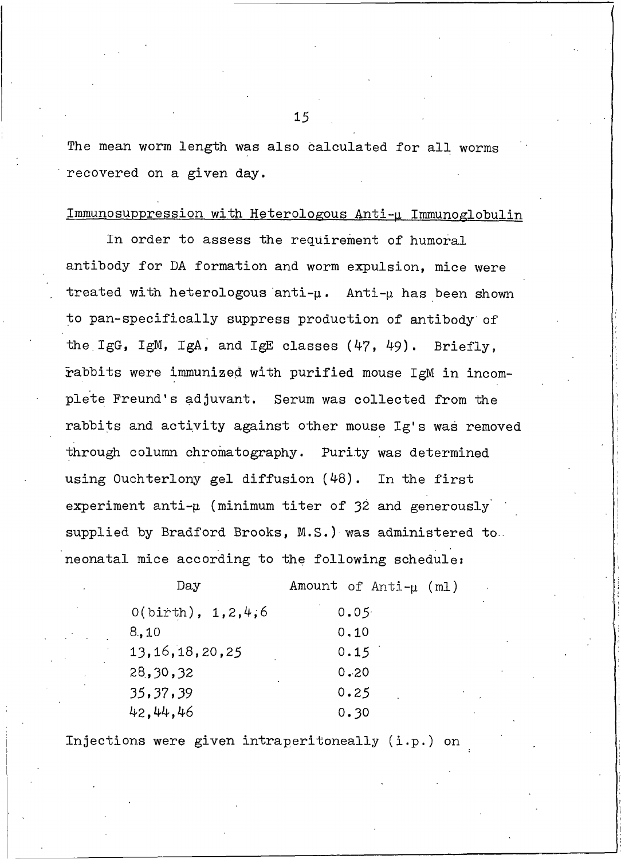The mean worm length was also calculated for all worms recovered on a given day.

#### Immunosuppression with Heterologous Anti-u Immunoglobulin

In order to assess the requirement of humoral antibody for DA formation and worm expulsion, mice were treated with heterologous anti- $\mu$ . Anti- $\mu$  has been shown to pan-specifically suppress production of antibody of the IgG, IgM, IgA, and IgE classes  $(47, 49)$ . Briefly. rabbits were immunized with purified mouse IgM in incomplete Freund's adjuvant. Serum was collected from the rabbits and activity against other mouse Ig's was removed through column chromatography. Purity was determined using Ouchterlony gel diffusion (48). In the first experiment anti- $\mu$  (minimum titer of 32 and generously supplied by Bradford Brooks, M.S.) was administered to. neonatal mice according to the following schedule:

| Day                  | Amount of $Anti-\mu$ (ml) |  |
|----------------------|---------------------------|--|
| $O(birth)$ , 1,2,4,6 | 0.05                      |  |
| 3.10                 | 0.10                      |  |
| 13,16,18,20,25       | 0.15                      |  |
| 28,30,32             | 0.20                      |  |
| 35,37,39             | 0.25                      |  |
| 42,44,46             | 0.30                      |  |

Injections were given intraperitoneally (i.p.) on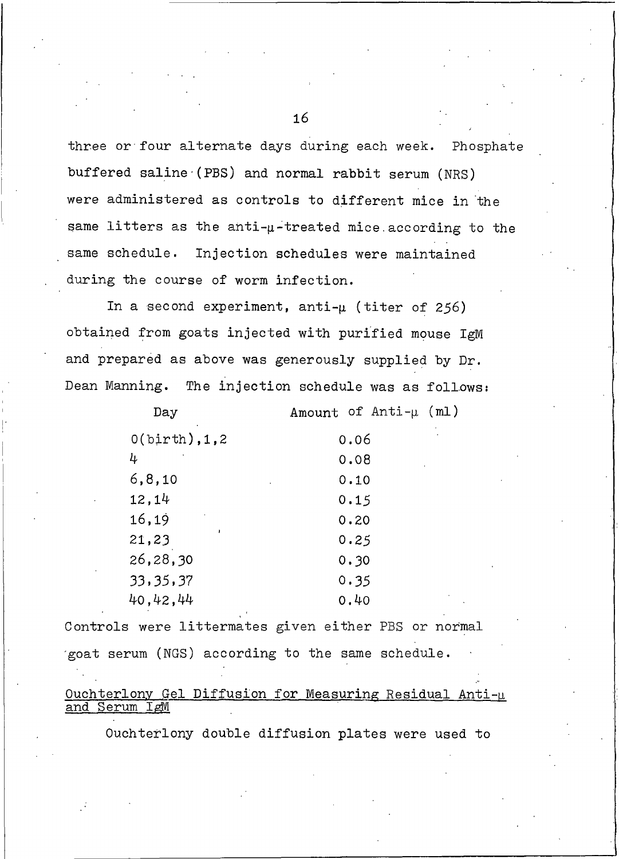three or four alternate days during each week. Phosphate buffered saline (PBS) and normal rabbit serum (NRS) were administered as controls to different mice in the same litters as the anti-u-treated mice according to the same schedule. Injection schedules were maintained during the course of worm infection.

In a second experiment, anti- $\mu$  (titer of 256) obtained from goats injected with purified mouse IgM and prepared as above was generously supplied by Dr. Dean Manning. The injection schedule was as follows:

| Day               | Amount of $Anti-\mu$ (ml) |
|-------------------|---------------------------|
| $0(birth)$ , 1, 2 | 0.06                      |
| 4                 | 0.08                      |
| 6, 8, 10          | 0.10                      |
| 12,14             | 0.15                      |
| 16,19             | 0.20                      |
| 21,23             | 0.25                      |
| 26,28,30          | 0.30                      |
| 33,35,37          | 0.35                      |
| 40,42,44          | 0.40                      |

Controls were littermates given either PBS or normal goat serum (NGS) according to the same schedule.

#### Ouchterlony Gel Diffusion for Measuring Residual Anti-u and Serum IgM

Ouchterlony double diffusion plates were used to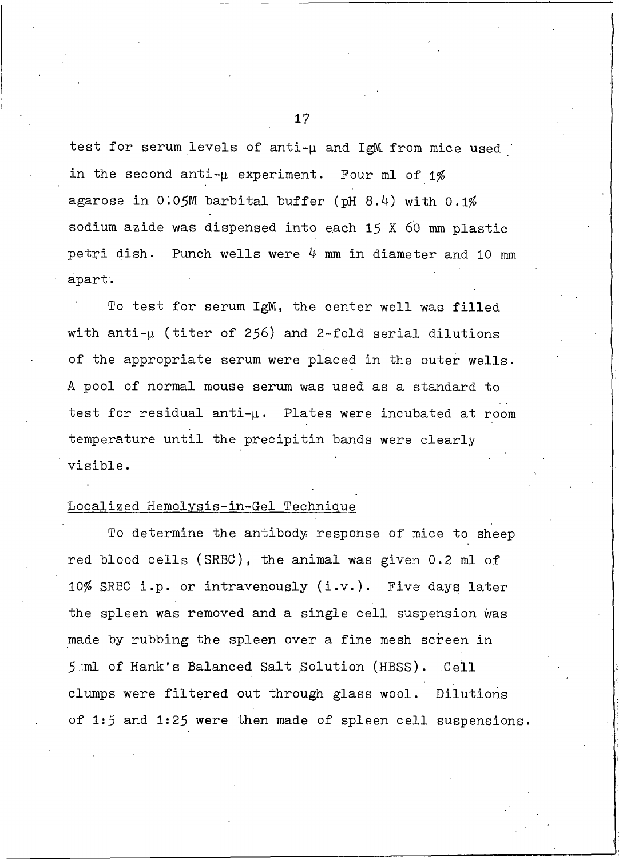test for serum levels of anti-u and IgM from mice used in the second anti- $\mu$  experiment. Four ml of 1% agarose in  $0.05M$  barbital buffer (pH 8.4) with  $0.1\%$ sodium azide was dispensed into each 15 X 60 mm plastic petri dish. Punch wells were  $4 \text{ mm}$  in diameter and 10 mm apart.

To test for serum IgM, the center well was filled with anti-µ (titer of 256) and 2-fold serial dilutions of the appropriate serum were placed in the outer wells. A pool of normal mouse serum was used as a standard to test for residual anti- $\mu$ . Plates were incubated at room temperature until the precipitin bands were clearly visible.

#### Localized Hemolysis-in-Gel Technique

To determine the antibody response of mice to sheep red blood cells (SRBC), the animal was given 0.2 ml of 10% SRBC i.p. or intravenously (i.v.). Five days later the spleen was removed and a single cell suspension was made by rubbing the spleen over a fine mesh screen in 5 ml of Hank's Balanced Salt Solution (HBSS). Cell clumps were filtered out through glass wool. Dilutions of 1:5 and 1:25 were then made of spleen cell suspensions.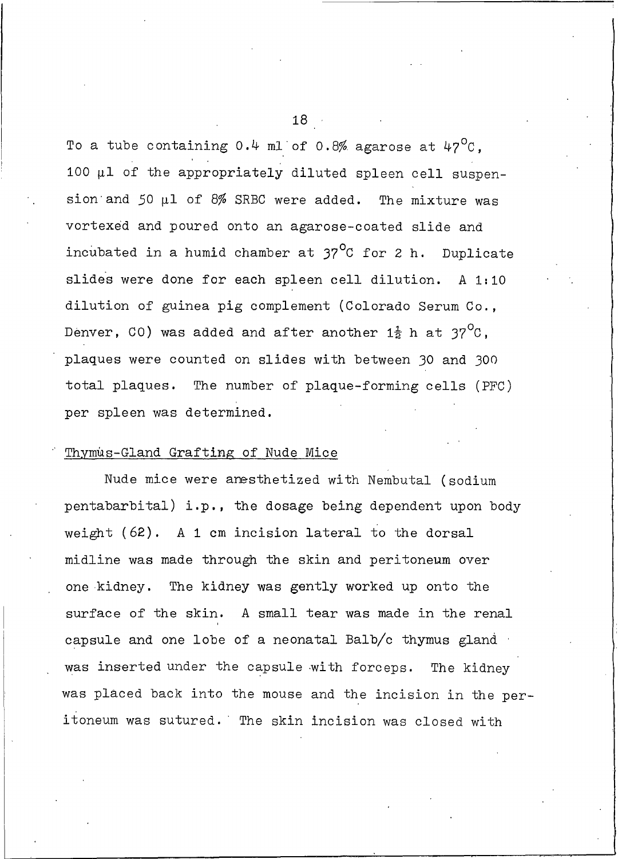To a tube containing 0.4 ml of 0.8% agarose at  $47^{\circ}$ C. 100  $\mu$ 1 of the appropriately diluted spleen cell suspension and 50  $\mu$ 1 of 8% SRBC were added. The mixture was vortexed and poured onto an agarose-coated slide and incubated in a humid chamber at  $37^{\circ}$ C for 2 h. Duplicate slides were done for each spleen cell dilution. A 1:10 dilution of guinea pig complement (Colorado Serum Co., Denver, CO) was added and after another  $1\frac{1}{2}$  h at  $37^{\circ}$ C, plaques were counted on slides with between 30 and 300 total plaques. The number of plaque-forming cells (PFC) per spleen was determined.

#### Thymus-Gland Grafting of Nude Mice

Nude mice were anesthetized with Nembutal (sodium pentabarbital) i.p., the dosage being dependent upon body weight (62). A 1 cm incision lateral to the dorsal midline was made through the skin and peritoneum over one kidney. The kidney was gently worked up onto the surface of the skin. A small tear was made in the renal capsule and one lobe of a neonatal Balb/c thymus gland was inserted under the capsule with forceps. The kidney was placed back into the mouse and the incision in the peritoneum was sutured. The skin incision was closed with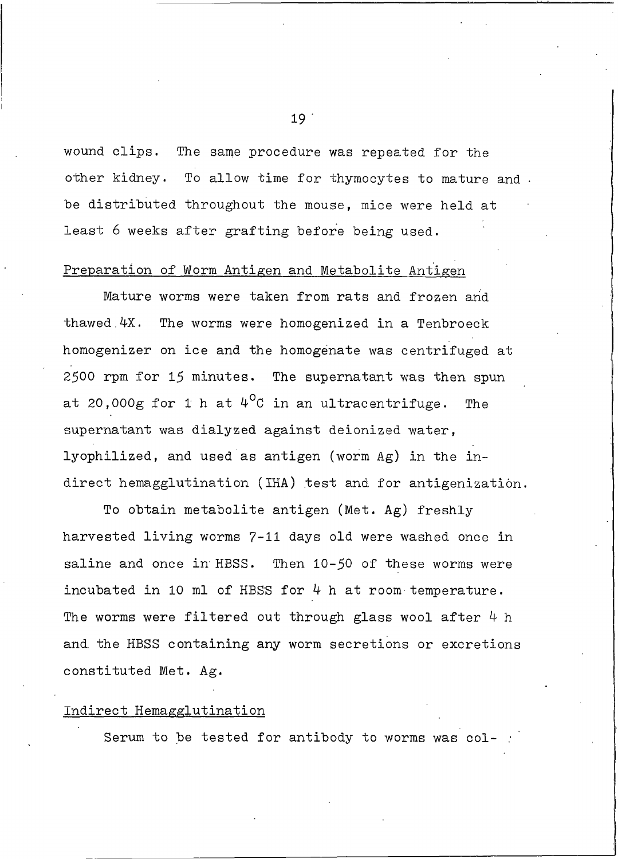wound clips. The same procedure was repeated for the other kidney. To allow time for thymocytes to mature and. be distributed throughout the mouse, mice were held at least 6 weeks after grafting before being used.

#### Preparation of Worm Antigen and Metabolite Antigen

Mature worms were taken from rats and frozen and thawed 4X. The worms were homogenized in a Tenbroeck homogenizer on ice and the homogenate was centrifuged at 2500 rpm for 15 minutes. The supernatant was then spun at 20,000g for 1 h at  $4^{\circ}$ C in an ultracentrifuge. The supernatant was dialyzed against deionized water. lyophilized, and used as antigen (worm Ag) in the indirect hemagglutination (IHA) test and for antigenization.

To obtain metabolite antigen (Met. Ag) freshly harvested living worms 7-11 days old were washed once in saline and once in HBSS. Then 10-50 of these worms were incubated in 10 ml of HBSS for 4 h at room temperature. The worms were filtered out through glass wool after  $4 h$ and the HBSS containing any worm secretions or excretions constituted Met. Ag.

#### Indirect Hemagglutination

Serum to be tested for antibody to worms was col-

 $19<sup>7</sup>$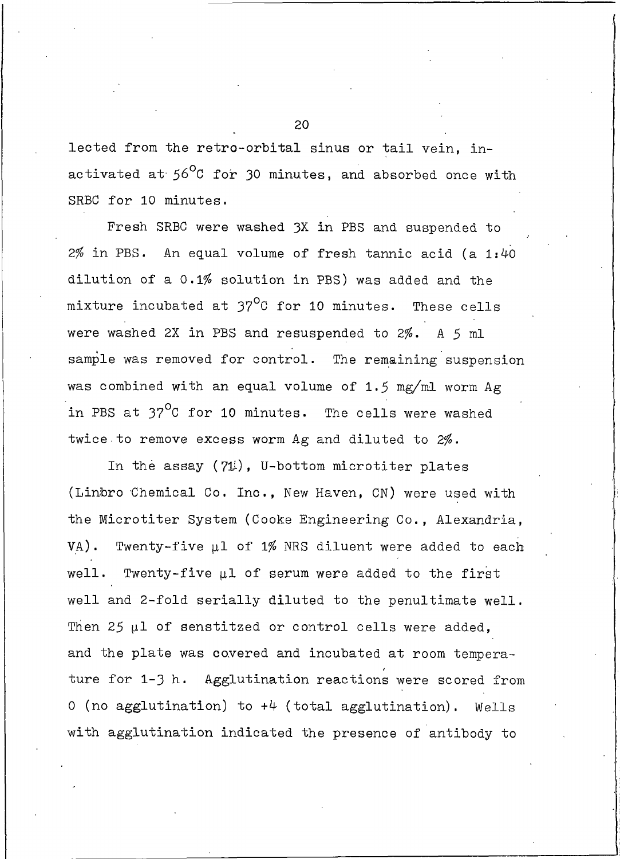lected from the retro-orbital sinus or tail vein, inactivated at 56°C for 30 minutes, and absorbed once with SRBC for 10 minutes.

Fresh SRBC were washed 3X in PBS and suspended to  $2\%$  in PBS. An equal volume of fresh tannic acid (a 1:40 dilution of a 0.1% solution in PBS) was added and the mixture incubated at 37<sup>o</sup>C for 10 minutes. These cells were washed 2X in PBS and resuspended to 2%. A 5 ml sample was removed for control. The remaining suspension was combined with an equal volume of 1.5 mg/ml worm Ag in PBS at 37<sup>°</sup>C for 10 minutes. The cells were washed twice to remove excess worm Ag and diluted to 2%.

In the assay  $(71)$ , U-bottom microtiter plates (Linbro Chemical Co. Inc., New Haven, CN) were used with the Microtiter System (Cooke Engineering Co., Alexandria, VA). Twenty-five µ1 of 1% NRS diluent were added to each well. Twenty-five µ1 of serum were added to the first well and 2-fold serially diluted to the penultimate well. Then 25  $\mu$ 1 of senstitzed or control cells were added, and the plate was covered and incubated at room temperature for 1-3 h. Agglutination reactions were scored from 0 (no agglutination) to  $+4$  (total agglutination). Wells with agglutination indicated the presence of antibody to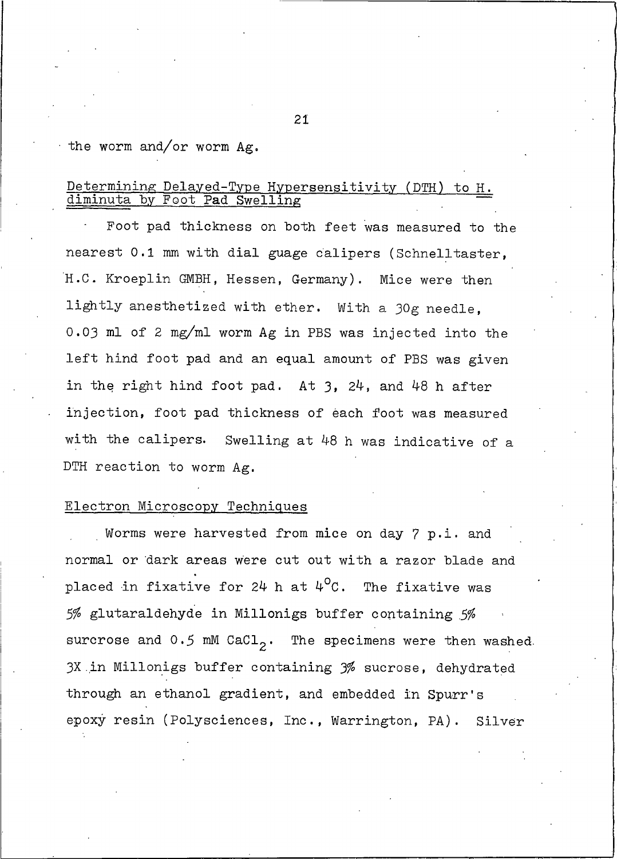#### the worm and/or worm  $Ag.$

#### Determining Delayed-Type Hypersensitivity (DTH) to H. diminuta by Foot Pad Swelling

Foot pad thickness on both feet was measured to the nearest 0.1 mm with dial guage calipers (Schnelltaster, H.C. Kroeplin GMBH, Hessen, Germany). Mice were then lightly anesthetized with ether. With a 30g needle, 0.03 ml of 2 mg/ml worm Ag in PBS was injected into the left hind foot pad and an equal amount of PBS was given in the right hind foot pad. At  $3$ ,  $24$ , and  $48$  h after injection, foot pad thickness of each foot was measured with the calipers. Swelling at 48 h was indicative of a DTH reaction to worm Ag.

#### Electron Microscopy Techniques

Worms were harvested from mice on day 7 p.i. and normal or dark areas were cut out with a razor blade and placed in fixative for  $24$  h at  $4^{\circ}$ C. The fixative was 5% glutaraldehyde in Millonigs buffer containing 5% surcrose and  $0.5$  mM CaCl<sub>2</sub>. The specimens were then washed. 3X in Millonigs buffer containing 3% sucrose, dehydrated through an ethanol gradient, and embedded in Spurr's epoxy resin (Polysciences, Inc., Warrington, PA). Silver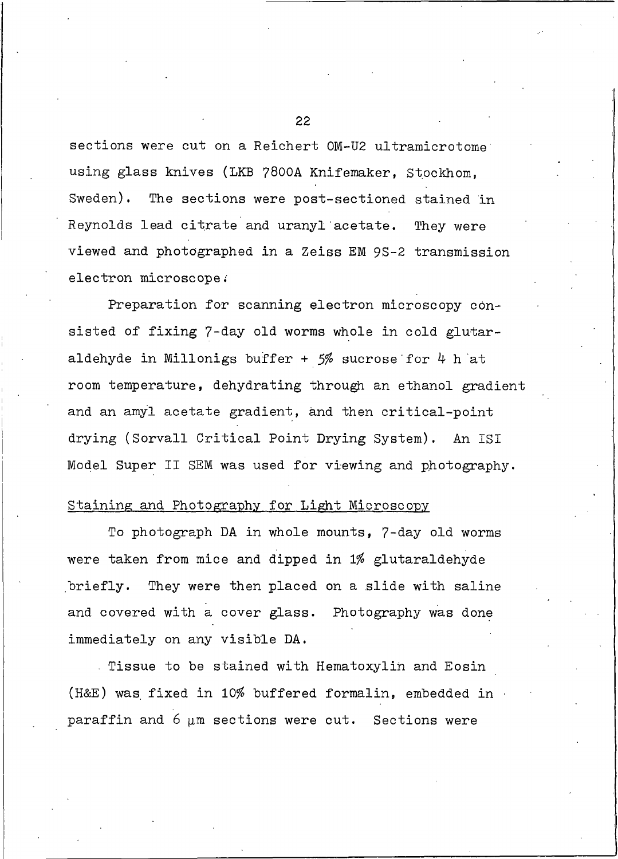sections were cut on a Reichert OM-U2 ultramicrotome using glass knives (LKB 7800A Knifemaker, Stockhom, Sweden). The sections were post-sectioned stained in Reynolds lead citrate and uranyl acetate. They were viewed and photographed in a Zeiss EM 9S-2 transmission electron microscope.

Preparation for scanning electron microscopy consisted of fixing 7-day old worms whole in cold glutaraldehyde in Millonigs buffer +  $5%$  sucrose for 4 h at room temperature, dehydrating through an ethanol gradient and an amyl acetate gradient, and then critical-point drying (Sorvall Critical Point Drying System). An ISI Model Super II SEM was used for viewing and photography.

#### Staining and Photography for Light Microscopy

To photograph DA in whole mounts, 7-day old worms were taken from mice and dipped in 1% glutaraldehyde They were then placed on a slide with saline briefly. and covered with a cover glass. Photography was done immediately on any visible DA.

Tissue to be stained with Hematoxylin and Eosin (H&E) was fixed in 10% buffered formalin, embedded in paraffin and  $6 \mu$ m sections were cut. Sections were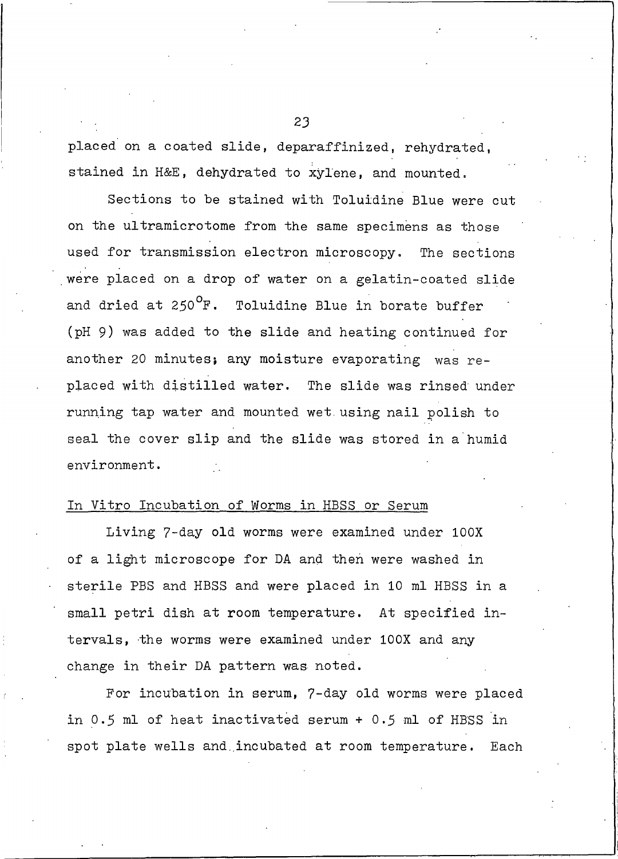placed on a coated slide, deparaffinized, rehydrated, stained in H&E, dehydrated to xylene, and mounted.

Sections to be stained with Toluidine Blue were cut on the ultramicrotome from the same specimens as those used for transmission electron microscopy. The sections were placed on a drop of water on a gelatin-coated slide and dried at  $250^{\circ}$ F. Toluidine Blue in borate buffer (pH 9) was added to the slide and heating continued for another 20 minutes; any moisture evaporating was replaced with distilled water. The slide was rinsed under running tap water and mounted wet using nail polish to seal the cover slip and the slide was stored in a humid environment.

#### In Vitro Incubation of Worms in HBSS or Serum

Living 7-day old worms were examined under 100X of a light microscope for DA and then were washed in sterile PBS and HBSS and were placed in 10 ml HBSS in a small petri dish at room temperature. At specified intervals, the worms were examined under 100X and any change in their DA pattern was noted.

For incubation in serum, 7-day old worms were placed in 0.5 ml of heat inactivated serum + 0.5 ml of HBSS in spot plate wells and incubated at room temperature. Each